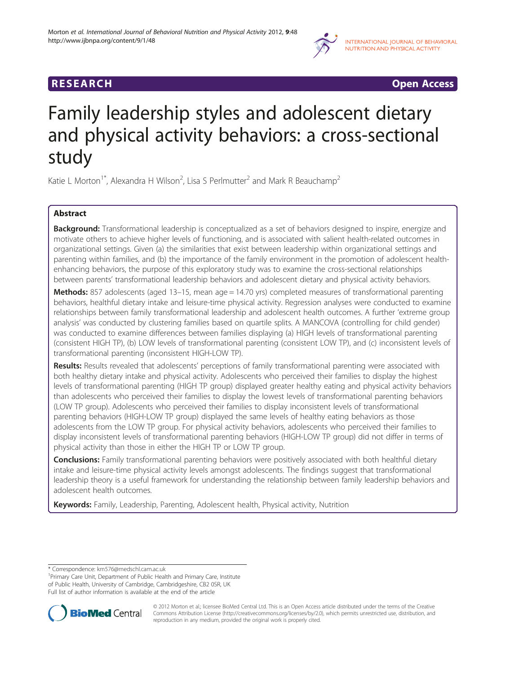

## **RESEARCH CHEART CONTROL**

# Family leadership styles and adolescent dietary and physical activity behaviors: a cross-sectional study

Katie L Morton<sup>1\*</sup>, Alexandra H Wilson<sup>2</sup>, Lisa S Perlmutter<sup>2</sup> and Mark R Beauchamp<sup>2</sup>

## Abstract

Background: Transformational leadership is conceptualized as a set of behaviors designed to inspire, energize and motivate others to achieve higher levels of functioning, and is associated with salient health-related outcomes in organizational settings. Given (a) the similarities that exist between leadership within organizational settings and parenting within families, and (b) the importance of the family environment in the promotion of adolescent healthenhancing behaviors, the purpose of this exploratory study was to examine the cross-sectional relationships between parents' transformational leadership behaviors and adolescent dietary and physical activity behaviors.

Methods: 857 adolescents (aged 13–15, mean age = 14.70 yrs) completed measures of transformational parenting behaviors, healthful dietary intake and leisure-time physical activity. Regression analyses were conducted to examine relationships between family transformational leadership and adolescent health outcomes. A further 'extreme group analysis' was conducted by clustering families based on quartile splits. A MANCOVA (controlling for child gender) was conducted to examine differences between families displaying (a) HIGH levels of transformational parenting (consistent HIGH TP), (b) LOW levels of transformational parenting (consistent LOW TP), and (c) inconsistent levels of transformational parenting (inconsistent HIGH-LOW TP).

Results: Results revealed that adolescents' perceptions of family transformational parenting were associated with both healthy dietary intake and physical activity. Adolescents who perceived their families to display the highest levels of transformational parenting (HIGH TP group) displayed greater healthy eating and physical activity behaviors than adolescents who perceived their families to display the lowest levels of transformational parenting behaviors (LOW TP group). Adolescents who perceived their families to display inconsistent levels of transformational parenting behaviors (HIGH-LOW TP group) displayed the same levels of healthy eating behaviors as those adolescents from the LOW TP group. For physical activity behaviors, adolescents who perceived their families to display inconsistent levels of transformational parenting behaviors (HIGH-LOW TP group) did not differ in terms of physical activity than those in either the HIGH TP or LOW TP group.

**Conclusions:** Family transformational parenting behaviors were positively associated with both healthful dietary intake and leisure-time physical activity levels amongst adolescents. The findings suggest that transformational leadership theory is a useful framework for understanding the relationship between family leadership behaviors and adolescent health outcomes.

Keywords: Family, Leadership, Parenting, Adolescent health, Physical activity, Nutrition

<sup>&</sup>lt;sup>1</sup> Primary Care Unit, Department of Public Health and Primary Care, Institute of Public Health, University of Cambridge, Cambridgeshire, CB2 0SR, UK Full list of author information is available at the end of the article



© 2012 Morton et al.; licensee BioMed Central Ltd. This is an Open Access article distributed under the terms of the Creative Commons Attribution License (http://creativecommons.org/licenses/by/2.0), which permits unrestricted use, distribution, and reproduction in any medium, provided the original work is properly cited.

<sup>\*</sup> Correspondence: [km576@medschl.cam.ac.uk](mailto:km576@medschl.cam.ac.uk) <sup>1</sup>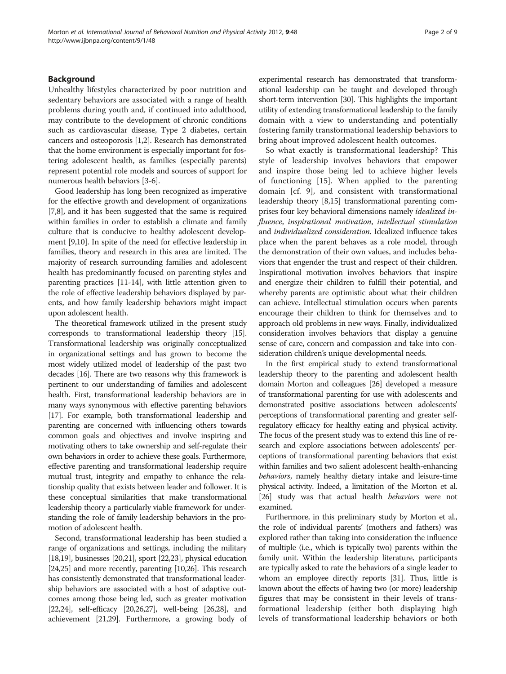## Background

Unhealthy lifestyles characterized by poor nutrition and sedentary behaviors are associated with a range of health problems during youth and, if continued into adulthood, may contribute to the development of chronic conditions such as cardiovascular disease, Type 2 diabetes, certain cancers and osteoporosis [[1,2\]](#page-7-0). Research has demonstrated that the home environment is especially important for fostering adolescent health, as families (especially parents) represent potential role models and sources of support for numerous health behaviors [\[3-6](#page-7-0)].

Good leadership has long been recognized as imperative for the effective growth and development of organizations [[7,8](#page-7-0)], and it has been suggested that the same is required within families in order to establish a climate and family culture that is conducive to healthy adolescent development [\[9,10\]](#page-7-0). In spite of the need for effective leadership in families, theory and research in this area are limited. The majority of research surrounding families and adolescent health has predominantly focused on parenting styles and parenting practices [\[11-14\]](#page-7-0), with little attention given to the role of effective leadership behaviors displayed by parents, and how family leadership behaviors might impact upon adolescent health.

The theoretical framework utilized in the present study corresponds to transformational leadership theory [\[15](#page-7-0)]. Transformational leadership was originally conceptualized in organizational settings and has grown to become the most widely utilized model of leadership of the past two decades [\[16\]](#page-7-0). There are two reasons why this framework is pertinent to our understanding of families and adolescent health. First, transformational leadership behaviors are in many ways synonymous with effective parenting behaviors [[17](#page-7-0)]. For example, both transformational leadership and parenting are concerned with influencing others towards common goals and objectives and involve inspiring and motivating others to take ownership and self-regulate their own behaviors in order to achieve these goals. Furthermore, effective parenting and transformational leadership require mutual trust, integrity and empathy to enhance the relationship quality that exists between leader and follower. It is these conceptual similarities that make transformational leadership theory a particularly viable framework for understanding the role of family leadership behaviors in the promotion of adolescent health.

Second, transformational leadership has been studied a range of organizations and settings, including the military [[18,19\]](#page-7-0), businesses [[20,21\]](#page-7-0), sport [\[22,23](#page-7-0)], physical education [[24,25\]](#page-7-0) and more recently, parenting [\[10,26](#page-7-0)]. This research has consistently demonstrated that transformational leadership behaviors are associated with a host of adaptive outcomes among those being led, such as greater motivation [[22,24\]](#page-7-0), self-efficacy [\[20,26,27](#page-7-0)], well-being [\[26,28\]](#page-7-0), and achievement [[21,29\]](#page-7-0). Furthermore, a growing body of

experimental research has demonstrated that transformational leadership can be taught and developed through short-term intervention [\[30](#page-7-0)]. This highlights the important utility of extending transformational leadership to the family domain with a view to understanding and potentially fostering family transformational leadership behaviors to bring about improved adolescent health outcomes.

So what exactly is transformational leadership? This style of leadership involves behaviors that empower and inspire those being led to achieve higher levels of functioning [[15](#page-7-0)]. When applied to the parenting domain [cf. [9\]](#page-7-0), and consistent with transformational leadership theory [[8,15](#page-7-0)] transformational parenting comprises four key behavioral dimensions namely *idealized in*fluence, inspirational motivation, intellectual stimulation and individualized consideration. Idealized influence takes place when the parent behaves as a role model, through the demonstration of their own values, and includes behaviors that engender the trust and respect of their children. Inspirational motivation involves behaviors that inspire and energize their children to fulfill their potential, and whereby parents are optimistic about what their children can achieve. Intellectual stimulation occurs when parents encourage their children to think for themselves and to approach old problems in new ways. Finally, individualized consideration involves behaviors that display a genuine sense of care, concern and compassion and take into consideration children's unique developmental needs.

In the first empirical study to extend transformational leadership theory to the parenting and adolescent health domain Morton and colleagues [[26](#page-7-0)] developed a measure of transformational parenting for use with adolescents and demonstrated positive associations between adolescents' perceptions of transformational parenting and greater selfregulatory efficacy for healthy eating and physical activity. The focus of the present study was to extend this line of research and explore associations between adolescents' perceptions of transformational parenting behaviors that exist within families and two salient adolescent health-enhancing behaviors, namely healthy dietary intake and leisure-time physical activity. Indeed, a limitation of the Morton et al. [[26](#page-7-0)] study was that actual health behaviors were not examined.

Furthermore, in this preliminary study by Morton et al., the role of individual parents' (mothers and fathers) was explored rather than taking into consideration the influence of multiple (i.e., which is typically two) parents within the family unit. Within the leadership literature, participants are typically asked to rate the behaviors of a single leader to whom an employee directly reports [\[31\]](#page-7-0). Thus, little is known about the effects of having two (or more) leadership figures that may be consistent in their levels of transformational leadership (either both displaying high levels of transformational leadership behaviors or both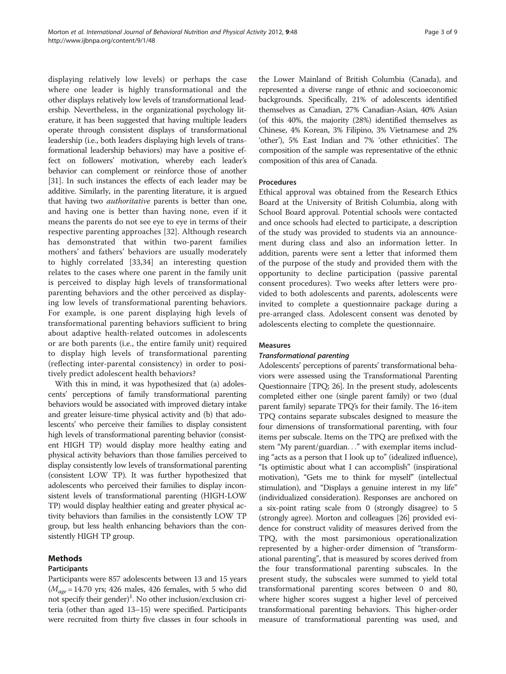displaying relatively low levels) or perhaps the case where one leader is highly transformational and the other displays relatively low levels of transformational leadership. Nevertheless, in the organizational psychology literature, it has been suggested that having multiple leaders operate through consistent displays of transformational leadership (i.e., both leaders displaying high levels of transformational leadership behaviors) may have a positive effect on followers' motivation, whereby each leader's behavior can complement or reinforce those of another [[31](#page-7-0)]. In such instances the effects of each leader may be additive. Similarly, in the parenting literature, it is argued that having two authoritative parents is better than one, and having one is better than having none, even if it means the parents do not see eye to eye in terms of their respective parenting approaches [[32\]](#page-7-0). Although research has demonstrated that within two-parent families mothers' and fathers' behaviors are usually moderately to highly correlated [[33](#page-7-0),[34\]](#page-7-0) an interesting question relates to the cases where one parent in the family unit is perceived to display high levels of transformational parenting behaviors and the other perceived as displaying low levels of transformational parenting behaviors. For example, is one parent displaying high levels of transformational parenting behaviors sufficient to bring about adaptive health-related outcomes in adolescents or are both parents (i.e., the entire family unit) required to display high levels of transformational parenting (reflecting inter-parental consistency) in order to positively predict adolescent health behaviors?

With this in mind, it was hypothesized that (a) adolescents' perceptions of family transformational parenting behaviors would be associated with improved dietary intake and greater leisure-time physical activity and (b) that adolescents' who perceive their families to display consistent high levels of transformational parenting behavior (consistent HIGH TP) would display more healthy eating and physical activity behaviors than those families perceived to display consistently low levels of transformational parenting (consistent LOW TP). It was further hypothesized that adolescents who perceived their families to display inconsistent levels of transformational parenting (HIGH-LOW TP) would display healthier eating and greater physical activity behaviors than families in the consistently LOW TP group, but less health enhancing behaviors than the consistently HIGH TP group.

## Methods

### **Participants**

Participants were 857 adolescents between 13 and 15 years  $(M<sub>ave</sub> = 14.70$  yrs; 426 males, 426 females, with 5 who did not specify their gender)<sup>1</sup>. No other inclusion/exclusion criteria (other than aged 13–15) were specified. Participants were recruited from thirty five classes in four schools in the Lower Mainland of British Columbia (Canada), and represented a diverse range of ethnic and socioeconomic backgrounds. Specifically, 21% of adolescents identified themselves as Canadian, 27% Canadian-Asian, 40% Asian (of this 40%, the majority (28%) identified themselves as Chinese, 4% Korean, 3% Filipino, 3% Vietnamese and 2% 'other'), 5% East Indian and 7% 'other ethnicities'. The composition of the sample was representative of the ethnic composition of this area of Canada.

## Procedures

Ethical approval was obtained from the Research Ethics Board at the University of British Columbia, along with School Board approval. Potential schools were contacted and once schools had elected to participate, a description of the study was provided to students via an announcement during class and also an information letter. In addition, parents were sent a letter that informed them of the purpose of the study and provided them with the opportunity to decline participation (passive parental consent procedures). Two weeks after letters were provided to both adolescents and parents, adolescents were invited to complete a questionnaire package during a pre-arranged class. Adolescent consent was denoted by adolescents electing to complete the questionnaire.

### Measures

Adolescents' perceptions of parents' transformational behaviors were assessed using the Transformational Parenting Questionnaire [TPQ; [26](#page-7-0)]. In the present study, adolescents completed either one (single parent family) or two (dual parent family) separate TPQ's for their family. The 16-item TPQ contains separate subscales designed to measure the four dimensions of transformational parenting, with four items per subscale. Items on the TPQ are prefixed with the stem "My parent/guardian..." with exemplar items including "acts as a person that I look up to" (idealized influence), "Is optimistic about what I can accomplish" (inspirational motivation), "Gets me to think for myself" (intellectual stimulation), and "Displays a genuine interest in my life" (individualized consideration). Responses are anchored on a six-point rating scale from 0 (strongly disagree) to 5 (strongly agree). Morton and colleagues [\[26\]](#page-7-0) provided evidence for construct validity of measures derived from the TPQ, with the most parsimonious operationalization represented by a higher-order dimension of "transformational parenting", that is measured by scores derived from the four transformational parenting subscales. In the present study, the subscales were summed to yield total transformational parenting scores between 0 and 80, where higher scores suggest a higher level of perceived transformational parenting behaviors. This higher-order measure of transformational parenting was used, and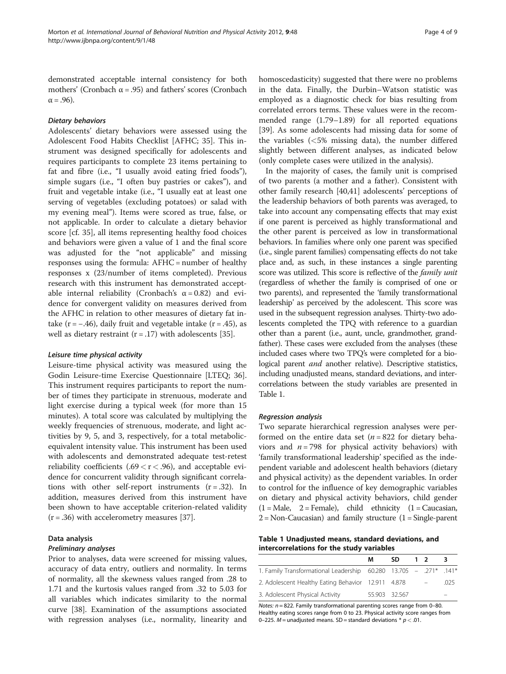demonstrated acceptable internal consistency for both mothers' (Cronbach  $\alpha$  = .95) and fathers' scores (Cronbach  $\alpha = .96$ ).

Adolescents' dietary behaviors were assessed using the Adolescent Food Habits Checklist [AFHC; [35\]](#page-7-0). This instrument was designed specifically for adolescents and requires participants to complete 23 items pertaining to fat and fibre (i.e., "I usually avoid eating fried foods"), simple sugars (i.e., "I often buy pastries or cakes"), and fruit and vegetable intake (i.e., "I usually eat at least one serving of vegetables (excluding potatoes) or salad with my evening meal"). Items were scored as true, false, or not applicable. In order to calculate a dietary behavior score [cf. [35\]](#page-7-0), all items representing healthy food choices and behaviors were given a value of 1 and the final score was adjusted for the "not applicable" and missing responses using the formula: AFHC = number of healthy responses x (23/number of items completed). Previous research with this instrument has demonstrated acceptable internal reliability (Cronbach's  $\alpha = 0.82$ ) and evidence for convergent validity on measures derived from the AFHC in relation to other measures of dietary fat intake ( $r = −.46$ ), daily fruit and vegetable intake ( $r = .45$ ), as well as dietary restraint  $(r=.17)$  with adolescents [[35](#page-7-0)].

Leisure time physical activity Leisure-time physical activity was measured using the Godin Leisure-time Exercise Questionnaire [LTEQ; [36](#page-7-0)]. This instrument requires participants to report the number of times they participate in strenuous, moderate and light exercise during a typical week (for more than 15 minutes). A total score was calculated by multiplying the weekly frequencies of strenuous, moderate, and light activities by 9, 5, and 3, respectively, for a total metabolicequivalent intensity value. This instrument has been used with adolescents and demonstrated adequate test-retest reliability coefficients (.69  $\lt$  r  $lt$  .96), and acceptable evidence for concurrent validity through significant correlations with other self-report instruments  $(r=.32)$ . In addition, measures derived from this instrument have been shown to have acceptable criterion-related validity  $(r = .36)$  with accelerometry measures [[37\]](#page-7-0).

### Data analysis

Prior to analyses, data were screened for missing values, accuracy of data entry, outliers and normality. In terms of normality, all the skewness values ranged from .28 to 1.71 and the kurtosis values ranged from .32 to 5.03 for all variables which indicates similarity to the normal curve [\[38\]](#page-7-0). Examination of the assumptions associated with regression analyses (i.e., normality, linearity and homoscedasticity) suggested that there were no problems in the data. Finally, the Durbin–Watson statistic was employed as a diagnostic check for bias resulting from correlated errors terms. These values were in the recommended range (1.79–1.89) for all reported equations [[39\]](#page-7-0). As some adolescents had missing data for some of the variables (<5% missing data), the number differed slightly between different analyses, as indicated below (only complete cases were utilized in the analysis).

In the majority of cases, the family unit is comprised of two parents (a mother and a father). Consistent with other family research [\[40,41\]](#page-7-0) adolescents' perceptions of the leadership behaviors of both parents was averaged, to take into account any compensating effects that may exist if one parent is perceived as highly transformational and the other parent is perceived as low in transformational behaviors. In families where only one parent was specified (i.e., single parent families) compensating effects do not take place and, as such, in these instances a single parenting score was utilized. This score is reflective of the family unit (regardless of whether the family is comprised of one or two parents), and represented the 'family transformational leadership' as perceived by the adolescent. This score was used in the subsequent regression analyses. Thirty-two adolescents completed the TPQ with reference to a guardian other than a parent (i.e., aunt, uncle, grandmother, grandfather). These cases were excluded from the analyses (these included cases where two TPQ's were completed for a biological parent *and* another relative). Descriptive statistics, including unadjusted means, standard deviations, and intercorrelations between the study variables are presented in Table 1.

Two separate hierarchical regression analyses were performed on the entire data set ( $n = 822$  for dietary behaviors and  $n = 798$  for physical activity behaviors) with 'family transformational leadership' specified as the independent variable and adolescent health behaviors (dietary and physical activity) as the dependent variables. In order to control for the influence of key demographic variables on dietary and physical activity behaviors, child gender  $(1 = Male, 2 = Female), child ethnicity (1 = Caucasian,$  $2 = Non-Caucasian)$  and family structure  $(1 = Single-parameter)$ 

Table 1 Unadjusted means, standard deviations, and intercorrelations for the study variables

|                                                                                    | м             | SD. | 1 <sub>2</sub> |      |
|------------------------------------------------------------------------------------|---------------|-----|----------------|------|
| 141*. <sup>+</sup> 271. - 13.705. D.13.705 - 1. Family Transformational Leadership |               |     |                |      |
| 2. Adolescent Healthy Eating Behavior 12.911 4.878                                 |               |     |                | .025 |
| 3. Adolescent Physical Activity                                                    | 55.903 32.567 |     |                |      |
|                                                                                    |               |     |                |      |

Notes: n = 822. Family transformational parenting scores range from 0–80. Healthy eating scores range from 0 to 23. Physical activity score ranges from 0–225.  $M$  = unadjusted means. SD = standard deviations  $* p < .01$ .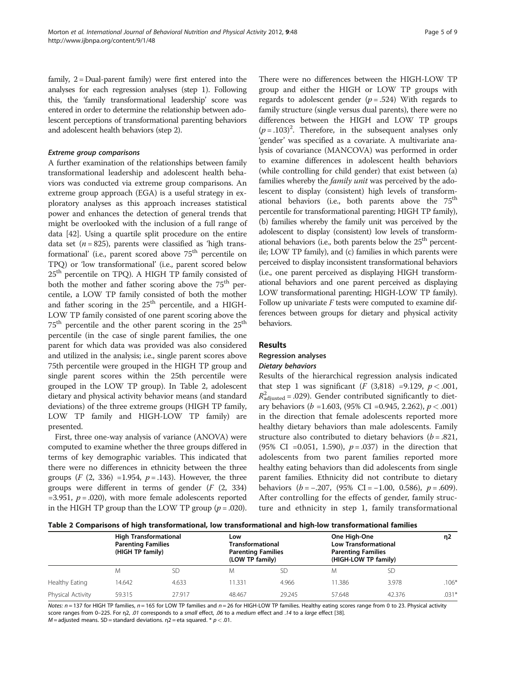<span id="page-4-0"></span>family, 2 = Dual-parent family) were first entered into the analyses for each regression analyses (step 1). Following this, the 'family transformational leadership' score was entered in order to determine the relationship between adolescent perceptions of transformational parenting behaviors and adolescent health behaviors (step 2).

A further examination of the relationships between family transformational leadership and adolescent health behaviors was conducted via extreme group comparisons. An extreme group approach (EGA) is a useful strategy in exploratory analyses as this approach increases statistical power and enhances the detection of general trends that might be overlooked with the inclusion of a full range of data [[42](#page-7-0)]. Using a quartile split procedure on the entire data set ( $n = 825$ ), parents were classified as 'high transformational' (i.e., parent scored above  $75<sup>th</sup>$  percentile on TPQ) or 'low transformational' (i.e., parent scored below 25<sup>th</sup> percentile on TPQ). A HIGH TP family consisted of both the mother and father scoring above the  $75<sup>th</sup>$  percentile, a LOW TP family consisted of both the mother and father scoring in the  $25<sup>th</sup>$  percentile, and a HIGH-LOW TP family consisted of one parent scoring above the  $75<sup>th</sup>$  percentile and the other parent scoring in the  $25<sup>th</sup>$ percentile (in the case of single parent families, the one parent for which data was provided was also considered and utilized in the analysis; i.e., single parent scores above 75th percentile were grouped in the HIGH TP group and single parent scores within the 25th percentile were grouped in the LOW TP group). In Table 2, adolescent dietary and physical activity behavior means (and standard deviations) of the three extreme groups (HIGH TP family, LOW TP family and HIGH-LOW TP family) are presented.

First, three one-way analysis of variance (ANOVA) were computed to examine whether the three groups differed in terms of key demographic variables. This indicated that there were no differences in ethnicity between the three groups (*F* (2, 336) =1.954,  $p = .143$ ). However, the three groups were different in terms of gender  $(F (2, 334))$ =3.951,  $p = .020$ ), with more female adolescents reported in the HIGH TP group than the LOW TP group ( $p = .020$ ).

There were no differences between the HIGH-LOW TP group and either the HIGH or LOW TP groups with regards to adolescent gender  $(p=.524)$  With regards to family structure (single versus dual parents), there were no differences between the HIGH and LOW TP groups  $(p=.103)^2$ . Therefore, in the subsequent analyses only 'gender' was specified as a covariate. A multivariate analysis of covariance (MANCOVA) was performed in order to examine differences in adolescent health behaviors (while controlling for child gender) that exist between (a) families whereby the *family unit* was perceived by the adolescent to display (consistent) high levels of transformational behaviors (i.e., both parents above the 75<sup>th</sup> percentile for transformational parenting; HIGH TP family), (b) families whereby the family unit was perceived by the adolescent to display (consistent) low levels of transformational behaviors (i.e., both parents below the  $25<sup>th</sup>$  percentile; LOW TP family), and (c) families in which parents were perceived to display inconsistent transformational behaviors (i.e., one parent perceived as displaying HIGH transformational behaviors and one parent perceived as displaying LOW transformational parenting; HIGH-LOW TP family). Follow up univariate  $F$  tests were computed to examine differences between groups for dietary and physical activity behaviors.

### Results

## Regression analyses

Results of the hierarchical regression analysis indicated that step 1 was significant (*F* (3,818) =9.129,  $p < .001$ ,  $R<sub>adjusted</sub><sup>2</sup> = .029$ . Gender contributed significantly to dietary behaviors ( $b = 1.603$ , (95% CI = 0.945, 2.262),  $p < .001$ ) in the direction that female adolescents reported more healthy dietary behaviors than male adolescents. Family structure also contributed to dietary behaviors ( $b = .821$ , (95% CI = 0.051, 1.590),  $p = .037$  in the direction that adolescents from two parent families reported more healthy eating behaviors than did adolescents from single parent families. Ethnicity did not contribute to dietary behaviors  $(b = -.207, (95\% \text{ CI} = -1.00, 0.586), p = .609)$ . After controlling for the effects of gender, family structure and ethnicity in step 1, family transformational

Table 2 Comparisons of high transformational, low transformational and high-low transformational families

|                   | <b>High Transformational</b><br><b>Parenting Families</b><br>(HIGH TP family) |        | Low<br><b>Transformational</b><br><b>Parenting Families</b><br>(LOW TP family) |        | One High-One<br><b>Low Transformational</b><br><b>Parenting Families</b><br>(HIGH-LOW TP family) |        | η2      |
|-------------------|-------------------------------------------------------------------------------|--------|--------------------------------------------------------------------------------|--------|--------------------------------------------------------------------------------------------------|--------|---------|
|                   | Μ                                                                             |        | M                                                                              | SD     | M                                                                                                | .SD    |         |
| Healthy Eating    | 14.642                                                                        | 4.633  | 11.331                                                                         | 4.966  | 11.386                                                                                           | 3.978  | $.106*$ |
| Physical Activity | 59.315                                                                        | 27.917 | 48.467                                                                         | 29.245 | 57.648                                                                                           | 42.376 | $.031*$ |

Notes:  $n = 137$  for HIGH TP families,  $n = 165$  for LOW TP families and  $n = 26$  for HIGH-LOW TP families. Healthy eating scores range from 0 to 23. Physical activity score ranges from 0–225. For η2, .01 corresponds to a small effect, .06 to a medium effect and .14 to a large effect [[38\]](#page-7-0).  $M$  = adjusted means. SD = standard deviations.  $n^2$  = eta squared. \*  $p < .01$ .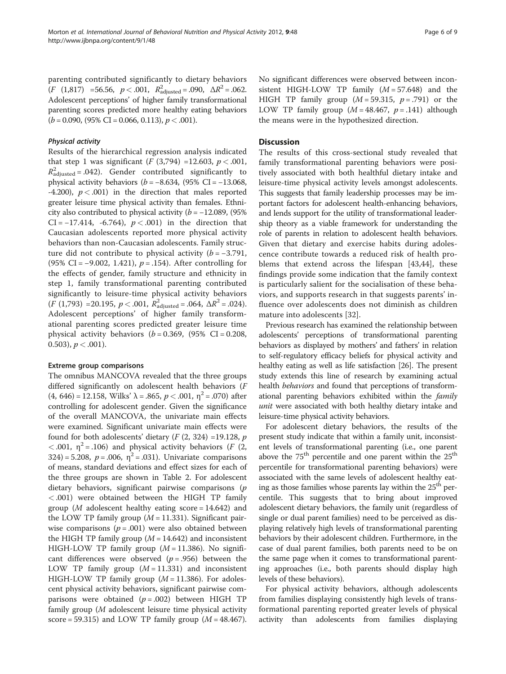parenting contributed significantly to dietary behaviors  $(F (1,817) = 56.56, p < .001, R<sup>2</sup><sub>adjusted</sub> = .090, \Delta R<sup>2</sup> = .062.$ Adolescent perceptions' of higher family transformational parenting scores predicted more healthy eating behaviors  $(b = 0.090, (95\% \text{ CI} = 0.066, 0.113), p < .001).$ 

Results of the hierarchical regression analysis indicated that step 1 was significant (*F* (3,794) =12.603,  $p < .001$ ,  $R^2_{\text{adjusted}} = .042$ ). Gender contributed significantly to physical activity behaviors ( $b = -8.634$ , (95% CI = -13.068, -4.200),  $p < .001$  in the direction that males reported greater leisure time physical activity than females. Ethnicity also contributed to physical activity ( $b = -12.089$ , (95%) CI =  $-17.414$ ,  $-6.764$ ),  $p < .001$ ) in the direction that Caucasian adolescents reported more physical activity behaviors than non-Caucasian adolescents. Family structure did not contribute to physical activity  $(b = -3.791,$ (95% CI =  $-9.002$ , 1.421),  $p = .154$ ). After controlling for the effects of gender, family structure and ethnicity in step 1, family transformational parenting contributed significantly to leisure-time physical activity behaviors  $(F (1,793) = 20.195, p < .001, R<sup>2</sup><sub>adjusted</sub> = .064, \Delta R<sup>2</sup> = .024).$ Adolescent perceptions' of higher family transformational parenting scores predicted greater leisure time physical activity behaviors ( $b = 0.369$ , (95% CI = 0.208, 0.503),  $p < .001$ ).

### Extreme group comparisons

The omnibus MANCOVA revealed that the three groups differed significantly on adolescent health behaviors (F (4, 646) = 12.158, Wilks'  $\lambda$  = .865,  $p < .001$ ,  $\eta^2$  = .070) after controlling for adolescent gender. Given the significance of the overall MANCOVA, the univariate main effects were examined. Significant univariate main effects were found for both adolescents' dietary  $(F (2, 324) =19.128, p$  $<$  0.01,  $\eta^2$  = .106) and physical activity behaviors (*F* (2,  $324$ ) = 5.208, p = .006,  $\eta^2$  = .031). Univariate comparisons of means, standard deviations and effect sizes for each of the three groups are shown in Table [2.](#page-4-0) For adolescent dietary behaviors, significant pairwise comparisons (p < .001) were obtained between the HIGH TP family group (*M* adolescent healthy eating score =  $14.642$ ) and the LOW TP family group  $(M = 11.331)$ . Significant pairwise comparisons ( $p = .001$ ) were also obtained between the HIGH TP family group ( $M = 14.642$ ) and inconsistent HIGH-LOW TP family group ( $M = 11.386$ ). No significant differences were observed  $(p=.956)$  between the LOW TP family group  $(M = 11.331)$  and inconsistent HIGH-LOW TP family group ( $M = 11.386$ ). For adolescent physical activity behaviors, significant pairwise comparisons were obtained  $(p=.002)$  between HIGH TP family group (M adolescent leisure time physical activity score = 59.315) and LOW TP family group  $(M = 48.467)$ .

No significant differences were observed between inconsistent HIGH-LOW TP family  $(M = 57.648)$  and the HIGH TP family group  $(M = 59.315, p = .791)$  or the LOW TP family group  $(M = 48.467, p = .141)$  although the means were in the hypothesized direction.

### **Discussion**

The results of this cross-sectional study revealed that family transformational parenting behaviors were positively associated with both healthful dietary intake and leisure-time physical activity levels amongst adolescents. This suggests that family leadership processes may be important factors for adolescent health-enhancing behaviors, and lends support for the utility of transformational leadership theory as a viable framework for understanding the role of parents in relation to adolescent health behaviors. Given that dietary and exercise habits during adolescence contribute towards a reduced risk of health problems that extend across the lifespan [[43,](#page-7-0)[44\]](#page-8-0), these findings provide some indication that the family context is particularly salient for the socialisation of these behaviors, and supports research in that suggests parents' influence over adolescents does not diminish as children mature into adolescents [\[32](#page-7-0)].

Previous research has examined the relationship between adolescents' perceptions of transformational parenting behaviors as displayed by mothers' and fathers' in relation to self-regulatory efficacy beliefs for physical activity and healthy eating as well as life satisfaction [\[26\]](#page-7-0). The present study extends this line of research by examining actual health *behaviors* and found that perceptions of transformational parenting behaviors exhibited within the family unit were associated with both healthy dietary intake and leisure-time physical activity behaviors.

For adolescent dietary behaviors, the results of the present study indicate that within a family unit, inconsistent levels of transformational parenting (i.e., one parent above the  $75<sup>th</sup>$  percentile and one parent within the  $25<sup>th</sup>$ percentile for transformational parenting behaviors) were associated with the same levels of adolescent healthy eating as those families whose parents lay within the  $25<sup>th</sup>$  percentile. This suggests that to bring about improved adolescent dietary behaviors, the family unit (regardless of single or dual parent families) need to be perceived as displaying relatively high levels of transformational parenting behaviors by their adolescent children. Furthermore, in the case of dual parent families, both parents need to be on the same page when it comes to transformational parenting approaches (i.e., both parents should display high levels of these behaviors).

For physical activity behaviors, although adolescents from families displaying consistently high levels of transformational parenting reported greater levels of physical activity than adolescents from families displaying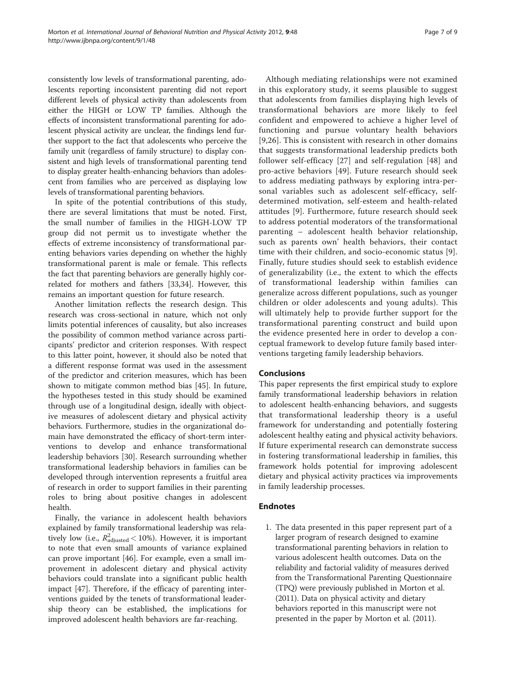consistently low levels of transformational parenting, adolescents reporting inconsistent parenting did not report different levels of physical activity than adolescents from either the HIGH or LOW TP families. Although the effects of inconsistent transformational parenting for adolescent physical activity are unclear, the findings lend further support to the fact that adolescents who perceive the family unit (regardless of family structure) to display consistent and high levels of transformational parenting tend to display greater health-enhancing behaviors than adolescent from families who are perceived as displaying low levels of transformational parenting behaviors.

In spite of the potential contributions of this study, there are several limitations that must be noted. First, the small number of families in the HIGH-LOW TP group did not permit us to investigate whether the effects of extreme inconsistency of transformational parenting behaviors varies depending on whether the highly transformational parent is male or female. This reflects the fact that parenting behaviors are generally highly correlated for mothers and fathers [[33,34](#page-7-0)]. However, this remains an important question for future research.

Another limitation reflects the research design. This research was cross-sectional in nature, which not only limits potential inferences of causality, but also increases the possibility of common method variance across participants' predictor and criterion responses. With respect to this latter point, however, it should also be noted that a different response format was used in the assessment of the predictor and criterion measures, which has been shown to mitigate common method bias [[45\]](#page-8-0). In future, the hypotheses tested in this study should be examined through use of a longitudinal design, ideally with objective measures of adolescent dietary and physical activity behaviors. Furthermore, studies in the organizational domain have demonstrated the efficacy of short-term interventions to develop and enhance transformational leadership behaviors [\[30](#page-7-0)]. Research surrounding whether transformational leadership behaviors in families can be developed through intervention represents a fruitful area of research in order to support families in their parenting roles to bring about positive changes in adolescent health.

Finally, the variance in adolescent health behaviors explained by family transformational leadership was relatively low (i.e.,  $R_{\text{adjusted}}^2 < 10\%$ ). However, it is important to note that even small amounts of variance explained can prove important [\[46](#page-8-0)]. For example, even a small improvement in adolescent dietary and physical activity behaviors could translate into a significant public health impact [\[47\]](#page-8-0). Therefore, if the efficacy of parenting interventions guided by the tenets of transformational leadership theory can be established, the implications for improved adolescent health behaviors are far-reaching.

Although mediating relationships were not examined in this exploratory study, it seems plausible to suggest that adolescents from families displaying high levels of transformational behaviors are more likely to feel confident and empowered to achieve a higher level of functioning and pursue voluntary health behaviors [[9,26](#page-7-0)]. This is consistent with research in other domains that suggests transformational leadership predicts both follower self-efficacy [[27](#page-7-0)] and self-regulation [[48\]](#page-8-0) and pro-active behaviors [\[49](#page-8-0)]. Future research should seek to address mediating pathways by exploring intra-personal variables such as adolescent self-efficacy, selfdetermined motivation, self-esteem and health-related attitudes [[9\]](#page-7-0). Furthermore, future research should seek to address potential moderators of the transformational parenting – adolescent health behavior relationship, such as parents own' health behaviors, their contact time with their children, and socio-economic status [[9](#page-7-0)]. Finally, future studies should seek to establish evidence of generalizability (i.e., the extent to which the effects of transformational leadership within families can generalize across different populations, such as younger children or older adolescents and young adults). This will ultimately help to provide further support for the transformational parenting construct and build upon the evidence presented here in order to develop a conceptual framework to develop future family based interventions targeting family leadership behaviors.

## Conclusions

This paper represents the first empirical study to explore family transformational leadership behaviors in relation to adolescent health-enhancing behaviors, and suggests that transformational leadership theory is a useful framework for understanding and potentially fostering adolescent healthy eating and physical activity behaviors. If future experimental research can demonstrate success in fostering transformational leadership in families, this framework holds potential for improving adolescent dietary and physical activity practices via improvements in family leadership processes.

## Endnotes

1. The data presented in this paper represent part of a larger program of research designed to examine transformational parenting behaviors in relation to various adolescent health outcomes. Data on the reliability and factorial validity of measures derived from the Transformational Parenting Questionnaire (TPQ) were previously published in Morton et al. (2011). Data on physical activity and dietary behaviors reported in this manuscript were not presented in the paper by Morton et al. (2011).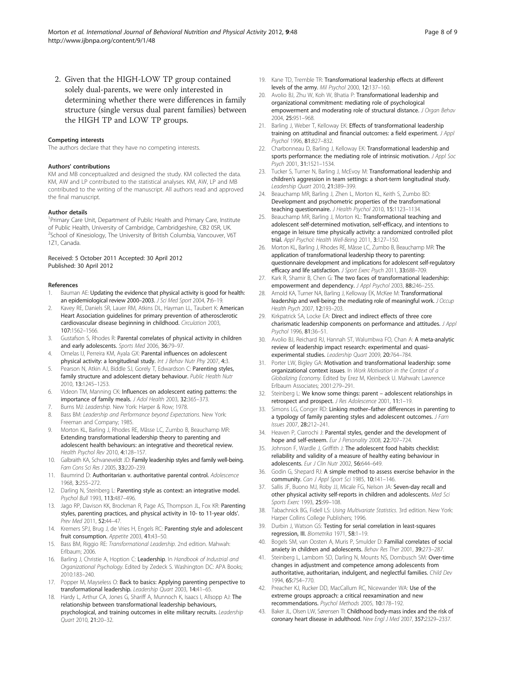<span id="page-7-0"></span>2. Given that the HIGH-LOW TP group contained solely dual-parents, we were only interested in determining whether there were differences in family structure (single versus dual parent families) between the HIGH TP and LOW TP groups.

### Competing interests

The authors declare that they have no competing interests.

### Authors' contributions

KM and MB conceptualized and designed the study. KM collected the data. KM, AW and LP contributed to the statistical analyses. KM, AW, LP and MB contributed to the writing of the manuscript. All authors read and approved the final manuscript.

### Author details

<sup>1</sup> Primary Care Unit, Department of Public Health and Primary Care, Institute of Public Health, University of Cambridge, Cambridgeshire, CB2 0SR, UK. <sup>2</sup>School of Kinesiology, The University of British Columbia, Vancouver, V6T 1Z1, Canada.

### Received: 5 October 2011 Accepted: 30 April 2012 Published: 30 April 2012

### References

- 1. Bauman AE: Updating the evidence that physical activity is good for health: an epidemiological review 2000-2003. J Sci Med Sport 2004, 7:6-19.
- Kavey RE, Daniels SR, Lauer RM, Atkins DL, Hayman LL, Taubert K: American Heart Association guidelines for primary prevention of atherosclerotic cardiovascular disease beginning in childhood. Circulation 2003, 107:1562–1566.
- 3. Gustafson S, Rhodes R: Parental correlates of physical activity in children and early adolescents. Sports Med 2006, 36:79–97.
- 4. Ornelas IJ, Perreira KM, Ayala GX: Parental influences on adolescent physical activity: a longitudinal study. Int J Behav Nutr Phy 2007, 4:3.
- 5. Pearson N, Atkin AJ, Biddle SJ, Gorely T, Edwardson C: Parenting styles, family structure and adolescent dietary behaviour. Public Health Nutr 2010, 13:1245–1253.
- 6. Videon TM, Manning CK: Influences on adolescent eating patterns: the importance of family meals. J Adol Health 2003, 32:365–373.
- Burns MJ: Leadership. New York: Harper & Row; 1978.
- 8. Bass BM: Leadership and Performance beyond Expectations. New York: Freeman and Company; 1985.
- 9. Morton KL, Barling J, Rhodes RE, Mâsse LC, Zumbo B, Beauchamp MR: Extending transformational leadership theory to parenting and adolescent health behaviours: an integrative and theoretical review. Health Psychol Rev 2010, 4:128–157.
- 10. Galbraith KA, Schvaneveldt JD: Family leadership styles and family well-being. Fam Cons Sci Res J 2005, 33:220–239.
- 11. Baumrind D: Authoritarian v. authoritative parental control. Adolescence 1968, 3:255–272.
- 12. Darling N, Steinberg L: Parenting style as context: an integrative model. Psychol Bull 1993, 113:487–496.
- 13. Jago RP, Davison KK, Brockman R, Page AS, Thompson JL, Fox KR: Parenting styles, parenting practices, and physical activity in 10- to 11-year olds'. Prev Med 2011, 52:44-47.
- 14. Kremers SPJ, Brug J, de Vries H, Engels RC: Parenting style and adolescent fruit consumption. Appetite 2003, 41:43–50.
- 15. Bass BM, Riggio RE: Transformational Leadership. 2nd edition. Mahwah: Erlbaum; 2006.
- 16. Barling J, Christie A, Hoption C: Leadership. In Handbook of Industrial and Organizational Psychology. Edited by Zedeck S. Washington DC: APA Books; 2010:183–240.
- 17. Popper M, Mayseless O: Back to basics: Applying parenting perspective to transformational leadership. Leadership Quart 2003, 14:41–65.
- 18. Hardy L, Arthur CA, Jones G, Shariff A, Munnoch K, Isaacs I, Allsopp AJ: The relationship between transformational leadership behaviours, psychological, and training outcomes in elite military recruits. Leadership Quart 2010, 21:20–32.
- 19. Kane TD, Tremble TR: Transformational leadership effects at different levels of the army. Mil Psychol 2000, 12:137–160.
- 20. Avolio BJ, Zhu W, Koh W, Bhatia P: Transformational leadership and organizational commitment: mediating role of psychological empowerment and moderating role of structural distance. J Organ Behav 2004, 25:951–968.
- 21. Barling J, Weber T, Kelloway EK: Effects of transformational leadership training on attitudinal and financial outcomes: a field experiment. J Appl Psychol 1996, 81:827–832.
- 22. Charbonneau D, Barling J, Kelloway EK: Transformational leadership and sports performance: the mediating role of intrinsic motivation. J Appl Soc Psych 2001, 31:1521–1534.
- 23. Tucker S, Turner N, Barling J, McEvoy M: Transformational leadership and children's aggression in team settings: a short-term longitudinal study. Leadership Quart 2010, 21:389–399.
- 24. Beauchamp MR, Barling J, Zhen L, Morton KL, Keith S, Zumbo BD: Development and psychometric properties of the transformational teaching questionnaire. J Health Psychol 2010, 15:1123–1134.
- 25. Beauchamp MR, Barling J, Morton KL: Transformational teaching and adolescent self-determined motivation, self-efficacy, and intentions to engage in leisure time physically activity: a randomized controlled pilot trial. Appl Psychol: Health Well-Being 2011, 3:127-150.
- 26. Morton KL, Barling J, Rhodes RE, Mâsse LC, Zumbo B, Beauchamp MR: The application of transformational leadership theory to parenting: questionnaire development and implications for adolescent self-regulatory efficacy and life satisfaction. J Sport Exerc Psych 2011, 33:688-709.
- 27. Kark R, Shamir B, Chen G: The two faces of transformational leadership: empowerment and dependency. J Appl Psychol 2003, 88:246-255.
- 28. Arnold KA, Turner NA, Barling J, Kelloway EK, McKee M: Transformational leadership and well-being: the mediating role of meaningful work. J Occup Health Psych 2007, 12:193–203.
- 29. Kirkpatrick SA, Locke EA: Direct and indirect effects of three core charismatic leadership components on performance and attitudes. J Appl Psychol 1996, 81:36–51.
- 30. Avolio BJ, Reichard RJ, Hannah ST, Walumbwa FO, Chan A: A meta-analytic review of leadership impact research: experimental and quasiexperimental studies. Leadership Quart 2009, 20:764–784.
- 31. Porter LW, Bigley GA: Motivation and transformational leadership: some organizational context issues. In Work Motivation in the Context of a Globalizing Economy. Edited by Erez M, Kleinbeck U. Mahwah: Lawrence Erlbaum Associates; 2001:279–291.
- 32. Steinberg L: We know some things: parent adolescent relationships in retrospect and prospect. J Res Adolescence 2001, 11:1–19.
- 33. Simons LG, Conger RD: Linking mother–father differences in parenting to a typology of family parenting styles and adolescent outcomes. J Fam Issues 2007, 28:212–241.
- 34. Heaven P, Ciarrochi J: Parental styles, gender and the development of hope and self-esteem. Eur J Personality 2008, 22:707-724.
- 35. Johnson F, Wardle J, Griffith J: The adolescent food habits checklist: reliability and validity of a measure of healthy eating behaviour in adolescents. Eur J Clin Nutr 2002, 56:644-649.
- Godin G, Shepard RJ: A simple method to assess exercise behavior in the community. Can J Appl Sport Sci 1985, 10:141-146.
- 37. Sallis JF, Buono MJ, Roby JJ, Micale FG, Nelson JA: Seven-day recall and other physical activity self-reports in children and adolescents. Med Sci Sports Exerc 1993, 25:99-108.
- 38. Tabachnick BG, Fidell LS: Using Multivariate Statistics. 3rd edition. New York: Harper Collins College Publishers; 1996.
- 39. Durbin J, Watson GS: Testing for serial correlation in least-squares regression, III. Biometrika 1971, 58:1–19.
- 40. Bogels SM, van Oosten A, Muris P, Smulder D: Familial correlates of social anxiety in children and adolescents. Behav Res Ther 2001, 39:273–287.
- 41. Steinberg L, Lamborn SD, Darling N, Mounts NS, Dornbusch SM: Over-time changes in adjustment and competence among adolescents from authoritative, authoritarian, indulgent, and neglectful families. Child Dev 1994, 65:754–770.
- 42. Preacher KJ, Rucker DD, MacCallum RC, Nicewander WA: Use of the extreme groups approach: a critical reexamination and new recommendations. Psychol Methods 2005, 10:178–192.
- 43. Baker JL, Olsen LW, Sørensen TI: Childhood body-mass index and the risk of coronary heart disease in adulthood. New Engl J Med 2007, 357:2329–2337.